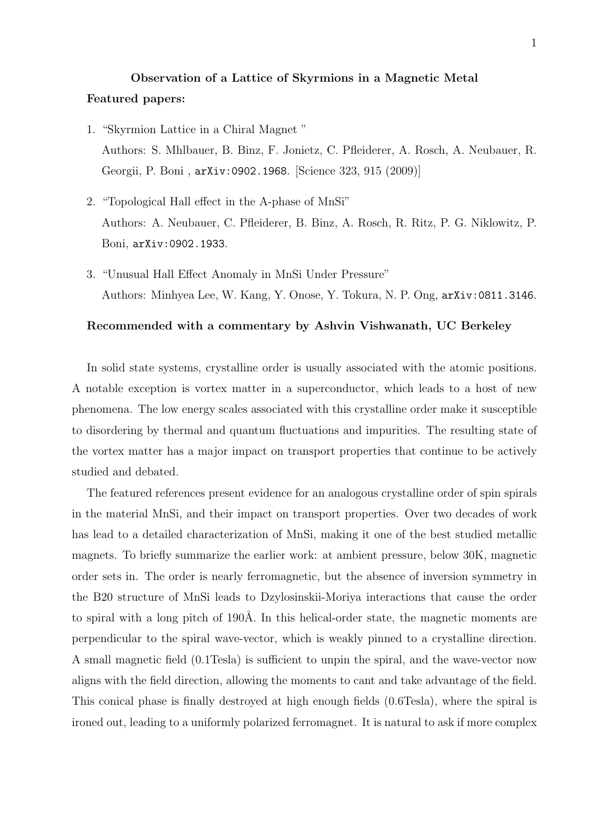## Observation of a Lattice of Skyrmions in a Magnetic Metal Featured papers:

- 1. "Skyrmion Lattice in a Chiral Magnet " Authors: S. Mhlbauer, B. Binz, F. Jonietz, C. Pfleiderer, A. Rosch, A. Neubauer, R. Georgii, P. Boni , arXiv:0902.1968. [Science 323, 915 (2009)]
- 2. "Topological Hall effect in the A-phase of MnSi" Authors: A. Neubauer, C. Pfleiderer, B. Binz, A. Rosch, R. Ritz, P. G. Niklowitz, P. Boni, arXiv:0902.1933.
- 3. "Unusual Hall Effect Anomaly in MnSi Under Pressure" Authors: Minhyea Lee, W. Kang, Y. Onose, Y. Tokura, N. P. Ong, arXiv:0811.3146.

## Recommended with a commentary by Ashvin Vishwanath, UC Berkeley

In solid state systems, crystalline order is usually associated with the atomic positions. A notable exception is vortex matter in a superconductor, which leads to a host of new phenomena. The low energy scales associated with this crystalline order make it susceptible to disordering by thermal and quantum fluctuations and impurities. The resulting state of the vortex matter has a major impact on transport properties that continue to be actively studied and debated.

The featured references present evidence for an analogous crystalline order of spin spirals in the material MnSi, and their impact on transport properties. Over two decades of work has lead to a detailed characterization of MnSi, making it one of the best studied metallic magnets. To briefly summarize the earlier work: at ambient pressure, below 30K, magnetic order sets in. The order is nearly ferromagnetic, but the absence of inversion symmetry in the B20 structure of MnSi leads to Dzylosinskii-Moriya interactions that cause the order to spiral with a long pitch of 190Å. In this helical-order state, the magnetic moments are perpendicular to the spiral wave-vector, which is weakly pinned to a crystalline direction. A small magnetic field (0.1Tesla) is sufficient to unpin the spiral, and the wave-vector now aligns with the field direction, allowing the moments to cant and take advantage of the field. This conical phase is finally destroyed at high enough fields (0.6Tesla), where the spiral is ironed out, leading to a uniformly polarized ferromagnet. It is natural to ask if more complex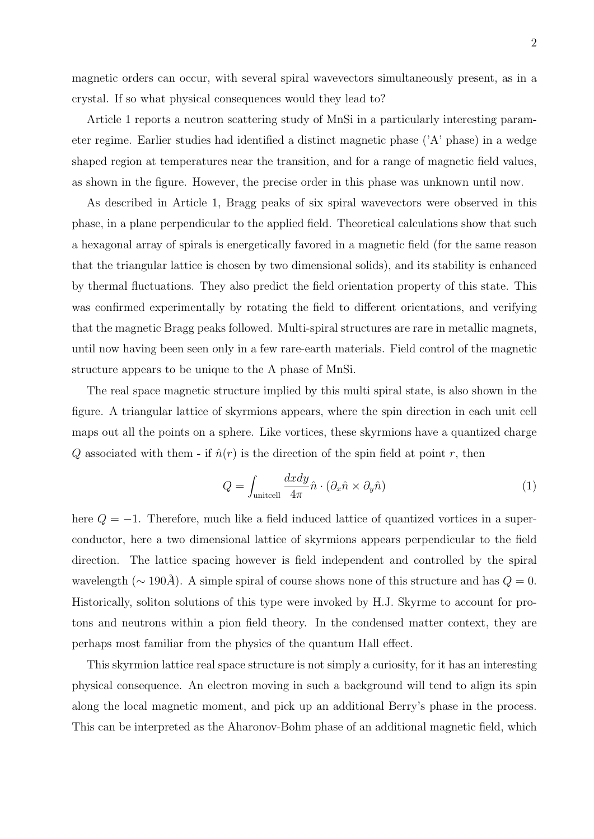magnetic orders can occur, with several spiral wavevectors simultaneously present, as in a crystal. If so what physical consequences would they lead to?

Article 1 reports a neutron scattering study of MnSi in a particularly interesting parameter regime. Earlier studies had identified a distinct magnetic phase ('A' phase) in a wedge shaped region at temperatures near the transition, and for a range of magnetic field values, as shown in the figure. However, the precise order in this phase was unknown until now.

As described in Article 1, Bragg peaks of six spiral wavevectors were observed in this phase, in a plane perpendicular to the applied field. Theoretical calculations show that such a hexagonal array of spirals is energetically favored in a magnetic field (for the same reason that the triangular lattice is chosen by two dimensional solids), and its stability is enhanced by thermal fluctuations. They also predict the field orientation property of this state. This was confirmed experimentally by rotating the field to different orientations, and verifying that the magnetic Bragg peaks followed. Multi-spiral structures are rare in metallic magnets, until now having been seen only in a few rare-earth materials. Field control of the magnetic structure appears to be unique to the A phase of MnSi.

The real space magnetic structure implied by this multi spiral state, is also shown in the figure. A triangular lattice of skyrmions appears, where the spin direction in each unit cell maps out all the points on a sphere. Like vortices, these skyrmions have a quantized charge Q associated with them - if  $\hat{n}(r)$  is the direction of the spin field at point r, then

$$
Q = \int_{\text{unitcell}} \frac{dxdy}{4\pi} \hat{n} \cdot (\partial_x \hat{n} \times \partial_y \hat{n}) \tag{1}
$$

here  $Q = -1$ . Therefore, much like a field induced lattice of quantized vortices in a superconductor, here a two dimensional lattice of skyrmions appears perpendicular to the field direction. The lattice spacing however is field independent and controlled by the spiral wavelength ( $\sim 190\AA$ ). A simple spiral of course shows none of this structure and has  $Q = 0$ . Historically, soliton solutions of this type were invoked by H.J. Skyrme to account for protons and neutrons within a pion field theory. In the condensed matter context, they are perhaps most familiar from the physics of the quantum Hall effect.

This skyrmion lattice real space structure is not simply a curiosity, for it has an interesting physical consequence. An electron moving in such a background will tend to align its spin along the local magnetic moment, and pick up an additional Berry's phase in the process. This can be interpreted as the Aharonov-Bohm phase of an additional magnetic field, which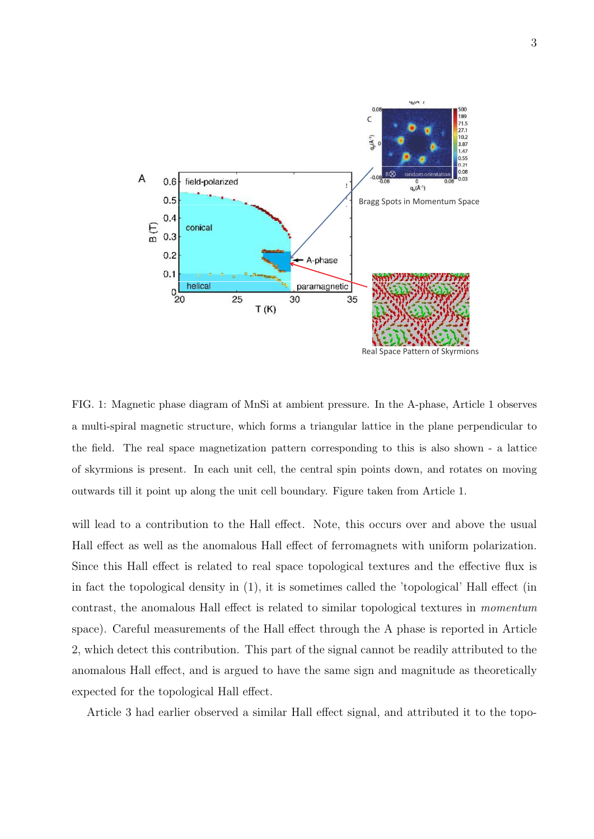

FIG. 1: Magnetic phase diagram of MnSi at ambient pressure. In the A-phase, Article 1 observes a multi-spiral magnetic structure, which forms a triangular lattice in the plane perpendicular to the field. The real space magnetization pattern corresponding to this is also shown - a lattice of skyrmions is present. In each unit cell, the central spin points down, and rotates on moving outwards till it point up along the unit cell boundary. Figure taken from Article 1.

will lead to a contribution to the Hall effect. Note, this occurs over and above the usual Hall effect as well as the anomalous Hall effect of ferromagnets with uniform polarization. Since this Hall effect is related to real space topological textures and the effective flux is in fact the topological density in (1), it is sometimes called the 'topological' Hall effect (in contrast, the anomalous Hall effect is related to similar topological textures in momentum space). Careful measurements of the Hall effect through the A phase is reported in Article 2, which detect this contribution. This part of the signal cannot be readily attributed to the anomalous Hall effect, and is argued to have the same sign and magnitude as theoretically expected for the topological Hall effect.

Article 3 had earlier observed a similar Hall effect signal, and attributed it to the topo-